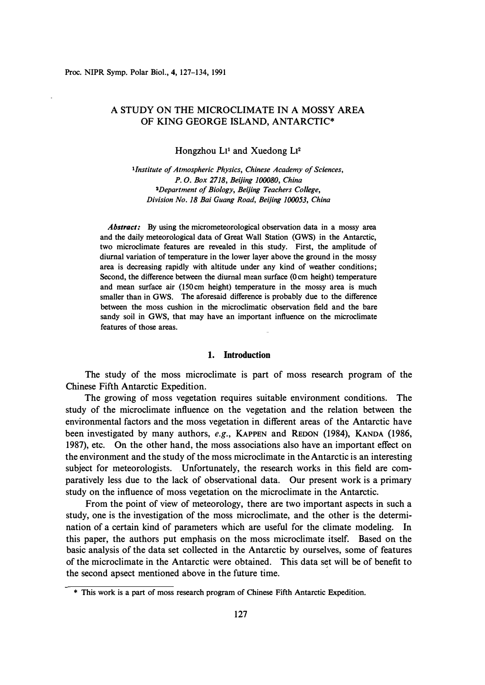# A STUDY ON THE MICROCLIMATE IN A MOSSY AREA OF KING GEORGE ISLAND, ANTARCTIC\*

Hongzhou L<sup>1</sup> and Xuedong L<sup>2</sup>

*<sup>1</sup>Institute of Atmospheric Physics, Chinese Academy of Sciences, P. 0. Box 2718, Beijing 100080, China <sup>2</sup>Department of Biology, Beijing Teachers College, Division No. 18 Bai Guang Road, Beijing 100053, China* 

*Abstract:* **By using the micrometeorological observation data in a mossy area and the daily meteorological data of Great Wall Station (GWS) in the Antarctic, two microclimate features are revealed in this study. First, the amplitude of diurnal variation of temperature in the lower layer above the ground in the mossy area is decreasing rapidly with altitude under any kind of weather conditions; Second, the difference between the diurnal mean surface (O cm height) temperature and mean surface air (150cm height) temperature in the mossy area is much smaller than in GWS. The aforesaid difference is probably due to the difference between the moss cushion in the microclimatic observation field and the bare sandy soil in GWS, that may have an important influence on the microclimate features of those areas.** 

#### **1. Introduction**

The study of the moss microclimate is part of moss research program of the Chinese Fifth Antarctic Expedition.

The growing of moss vegetation requires suitable environment conditions. The study of the microclimate influence on the vegetation and the relation between the environmental factors and the moss vegetation in different areas of the Antarctic have been investigated by many authors, *e.g.,* KAPPEN and REDON (1984), KANDA (1986, 1987), etc. On the other hand, the moss associations also have an important effect on the environment and the study of the moss microclimate in the Antarctic is an interesting subject for meteorologists. Unfortunately, the research works in this field are comparatively less due to the lack of observational data. Our present work is a primary study on the influence of moss vegetation on the microclimate in the Antarctic.

From the point of view of meteorology, there are two important aspects in such a study, one is the investigation of the moss microclimate, and the other is the determination of a certain kind of parameters which are useful for the climate modeling. In this paper, the authors put emphasis on the moss microclimate itself. Based on the basic analysis of the data set collected in the Antarctic by ourselves, some of features of the microclimate in the Antarctic were obtained. This data set will be of benefit to the second apsect mentioned above in the future time.

**<sup>\*</sup> This work is a part of moss research program of Chinese Fifth Antarctic Expedition.**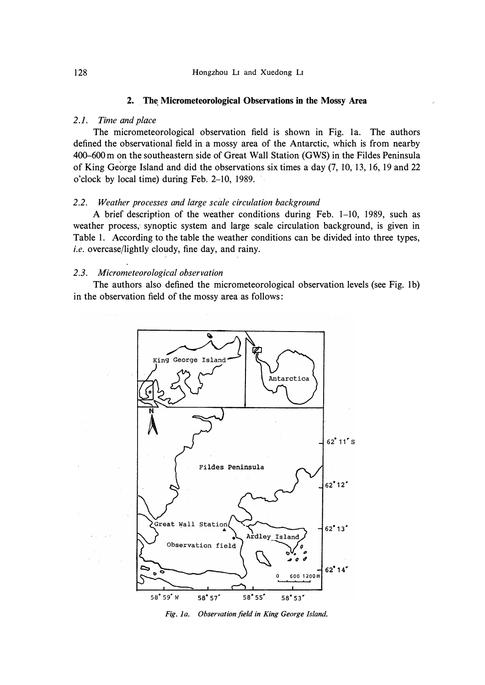#### **2.** *.* **The Micrometeorological Observations in the Mossy Area**

## *2.1. Time and place*

The micrometeorological observation field is shown in Fig. la. The authors defined the observational field in a mossy area of the Antarctic, which is from nearby 400-600m on the southeastern side of Great Wall Station (GWS) in the Fildes Peninsula of King George Island and did the observations six times a day  $(7, 10, 13, 16, 19, 22)$ o'clock by local time) during Feb. 2-10, 1989.

## *2.2. Weather processes and ldrge scale circulation background*

A brief description of the weather conditions during Feb. 1-10, 1989, such as weather process, synoptic system and large scale circulation background, is given in Table 1. According to the table the weather conditions can be divided into three types, *i.e.* overcase/lightly cloudy, fine day, and rainy.

#### *2.3. Micrometeorological observation*

The authors also defined the micrometeorological observation levels (see Fig. lb) in the observation field of the mossy area as follows:



*Fig. 1 a. Observation field in King George Island.*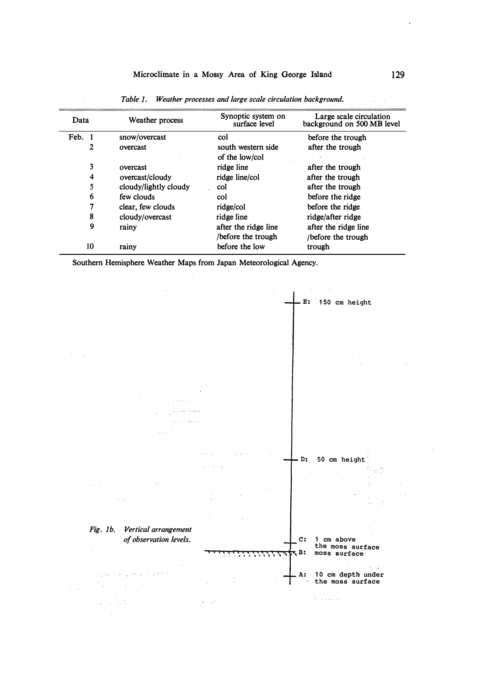| Data   | Weather process       | Synoptic system on<br>surface level       | Large scale circulation<br>background on 500 MB level |  |
|--------|-----------------------|-------------------------------------------|-------------------------------------------------------|--|
| Feb. 1 | snow/overcast         | col                                       | before the trough                                     |  |
| 2      | overcast              | south western side<br>of the low/col      | after the trough                                      |  |
| 3      | overcast              | ridge line                                | after the trough                                      |  |
| 4      | overcast/cloudy       | ridge line/col                            | after the trough                                      |  |
| 5      | cloudy/lightly cloudy | col                                       | after the trough                                      |  |
| 6      | few clouds            | col                                       | before the ridge                                      |  |
| 7      | clear, few clouds     | ridge/col                                 | before the ridge                                      |  |
| 8      | cloudy/overcast       | ridge line                                | ridge/after ridge                                     |  |
| 9      | rainy                 | after the ridge line<br>before the trough | after the ridge line<br>/before the trough            |  |
| 10     | rainy                 | before the low                            | trough                                                |  |

*Table J. Weather processes and large scale circulation background.* 

**Southern Hemisphere Weather Maps from Japan Meteorological Agency.** 



 $\mathcal{L}^2 \times \mathcal{L}^2 \times \mathbb{R}^2$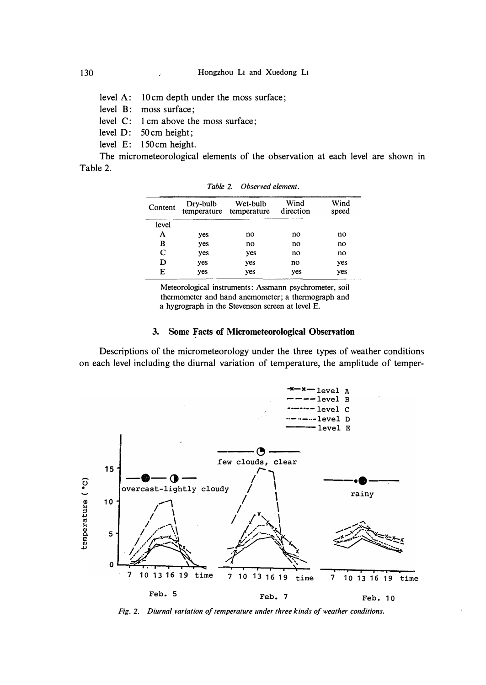level A: 10 cm depth under the moss surface;

level B: moss surface;

level C: 1 cm above the moss surface;

level D: 50 cm height;

level E: 150 cm height.

The micrometeorological elements of the observation at each level are shown in Table 2.

| Content |     | Dry-bulb Wet-bulb<br>temperature temperature | Wind<br>direction | Wind<br>speed |
|---------|-----|----------------------------------------------|-------------------|---------------|
| level   |     |                                              |                   |               |
| A       | yes | no                                           | no                | no            |
| B       | yes | no                                           | no                | no            |
| C       | yes | yes                                          | no                | no            |
| D       | yes | yes                                          | no                | yes           |
| E       | yes | yes                                          | yes               | yes           |

*Table 2. Observed element.* 

Meteorological instruments: Assmann psychrometer, soil thermometer and hand anemometer; a thermograph and a hygrograph in the Stevenson screen at level E.

## **3. Some Facts of Micrometeorological Observation**

Descriptions of the micrometeorology under the three types of weather conditions on each level including the diurnal variation of temperature, the amplitude of temper-



*Fig. 2. Diurnal variation of temperature under three kinds of weather conditions.*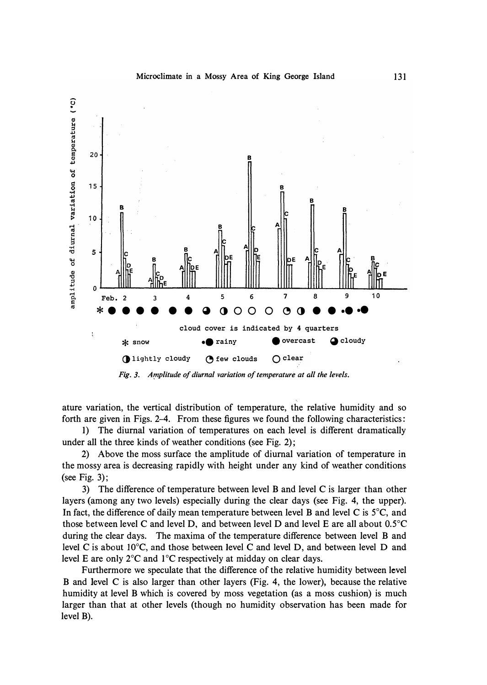

*Fig. 3. Amplitude of diurnal variation of temperature at all the levels.* 

ature variation, the vertical distribution of temperature, the relative humidity and so forth are given in Figs. 2-4. From these figures we found the following characteristics:

1) The diurnal variation of temperatures on each level is different dramatically under all the three kinds of weather conditions (see Fig. 2);

2) Above the moss surface the amplitude of diurnal variation of temperature in the mossy area is decreasing rapidly with height under any kind of weather conditions (see Fig. 3);

3) The difference of temperature between level B and level C is larger than other layers (among any two levels) especially during the clear days (see Fig. 4, the upper). In fact, the difference of daily mean temperature between level B and level C is  $5^{\circ}$ C, and those between level C and level D, and between level D and level E are all about 0.5°C during the clear days. The maxima of the temperature difference between level B and level C is about I0°C, and those between level C and level D, and between level D and level E are only  $2^{\circ}C$  and  $1^{\circ}C$  respectively at midday on clear days.

Furthermore we speculate that the difference of the relative humidity between level B and level C is also larger than other layers (Fig. 4, the lower), because the relative humidity at level B which is covered by moss vegetation (as a moss cushion) is much larger than that at other levels (though no humidity observation has been made for level B).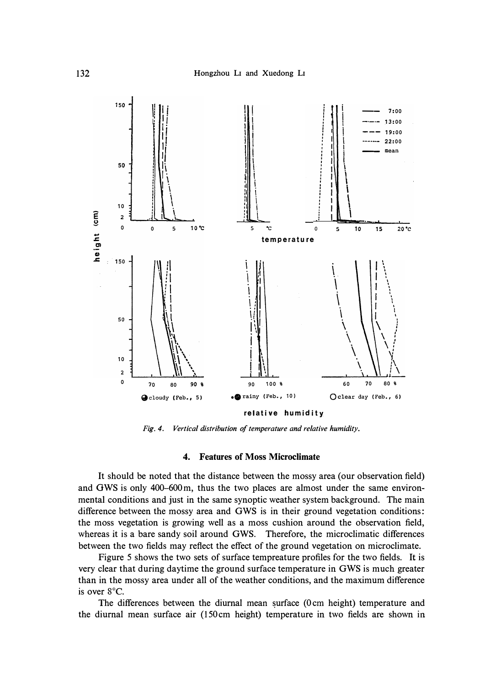

*Fig. 4. Vertical distribution of temperature and relative humidity.* 

#### **4. Features of Moss Microclimate**

**It should be noted that the distance between the mossy area ( our observation field) and OWS is only 400-600 m, thus the two places are almost under the same environmental conditions and just in the same synoptic weather system background. The main difference between the mossy area and GWS is in their ground vegetation conditions: the moss vegetation is growing well as a moss cushion around the observation field, whereas it is a bare sandy soil around GWS. Therefore, the microclimatic differences between the two fields may reflect the effect of the ground vegetation on microclimate.** 

**Figure 5 shows the two sets of surface tempreature profiles for the two fields. It is very clear that during daytime the ground surface temperature in GWS is much greater than in the mossy area under all of the weather conditions, and the maximum difference is over 8** °**C.** 

**The differences between the diurnal mean surface (0 cm height) temperature and the diurnal mean surface air (150cm height) temperature in two fields are shown in**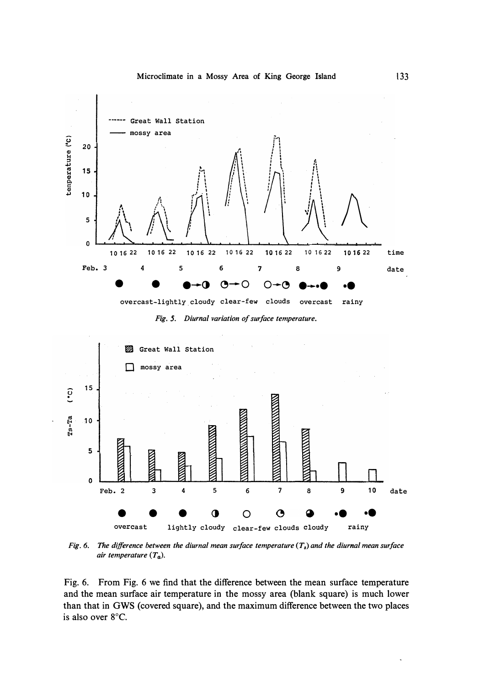**Microclimate in a Mossy Area of King George Island** 



*Fig. 5. Diurnal variation of surface temperature.* 



*Fig. 6. The difference between the diurnal mean surface temperature (T8) and the diurnal mean surface air temperature (Ta),* 

**Fig. 6. From Fig. 6 we find that the difference between the mean surface temperature and the mean surface air temperature in the mossy area (blank square) is much lower than that in GWS (covered square), and the maximum difference between the two places is also over 8 °C.**